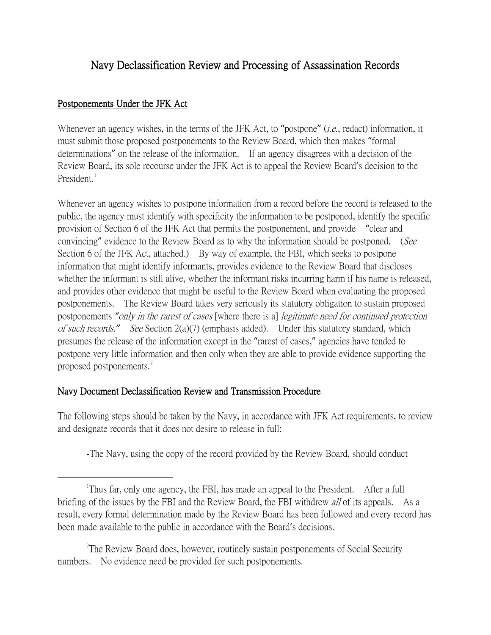## Navy Declassification Review and Processing of Assassination Records

## Postponements Under the JFK Act

Whenever an agency wishes, in the terms of the JFK Act, to "postpone" *(i.e.*, redact) information, it must submit those proposed postponements to the Review Board, which then makes "formal determinations" on the release of the information. If an agency disagrees with a decision of the Review Board, its sole recourse under the JFK Act is to appeal the Review Board's decision to the President.

Whenever an agency wishes to postpone information from a record before the record is released to the public, the agency must identify with specificity the information to be postponed, identify the specific provision of Section 6 of the JFK Act that permits the postponement, and provide "clear and convincing" evidence to the Review Board as to why the information should be postponed. (See Section 6 of the JFK Act, attached.) By way of example, the FBI, which seeks to postpone information that might identify informants, provides evidence to the Review Board that discloses whether the informant is still alive, whether the informant risks incurring harm if his name is released, and provides other evidence that might be useful to the Review Board when evaluating the proposed postponements. The Review Board takes very seriously its statutory obligation to sustain proposed postponements *"*only in the rarest of cases [where there is a] legitimate need for continued protection of such records.*"* See Section 2(a)(7) (emphasis added). Under this statutory standard, which presumes the release of the information except in the "rarest of cases," agencies have tended to postpone very little information and then only when they are able to provide evidence supporting the proposed postponements.<sup>[2](#page-0-1)</sup>

## Navy Document Declassification Review and Transmission Procedure

The following steps should be taken by the Navy, in accordance with JFK Act requirements, to review and designate records that it does not desire to release in full:

-The Navy, using the copy of the record provided by the Review Board, should conduct

<span id="page-0-1"></span><sup>2</sup>The Review Board does, however, routinely sustain postponements of Social Security numbers. No evidence need be provided for such postponements.

<span id="page-0-0"></span> $\overline{\phantom{a}}$ <sup>1</sup>Thus far, only one agency, the FBI, has made an appeal to the President. After a full briefing of the issues by the FBI and the Review Board, the FBI withdrew *all* of its appeals. As a result, every formal determination made by the Review Board has been followed and every record has been made available to the public in accordance with the Board's decisions.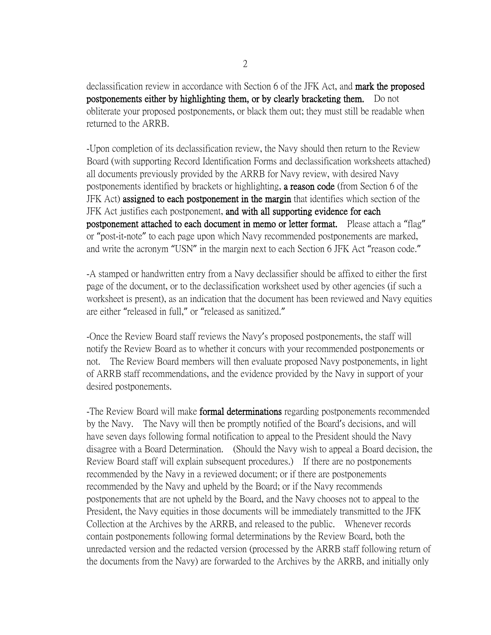declassification review in accordance with Section 6 of the JFK Act, and mark the proposed postponements either by highlighting them, or by clearly bracketing them. Do not obliterate your proposed postponements, or black them out; they must still be readable when returned to the ARRB.

-Upon completion of its declassification review, the Navy should then return to the Review Board (with supporting Record Identification Forms and declassification worksheets attached) all documents previously provided by the ARRB for Navy review, with desired Navy postponements identified by brackets or highlighting, a reason code (from Section 6 of the JFK Act) assigned to each postponement in the margin that identifies which section of the JFK Act justifies each postponement, and with all supporting evidence for each postponement attached to each document in memo or letter format. Please attach a "flag" or "post-it-note" to each page upon which Navy recommended postponements are marked, and write the acronym "USN" in the margin next to each Section 6 JFK Act "reason code."

-A stamped or handwritten entry from a Navy declassifier should be affixed to either the first page of the document, or to the declassification worksheet used by other agencies (if such a worksheet is present), as an indication that the document has been reviewed and Navy equities are either "released in full," or "released as sanitized."

-Once the Review Board staff reviews the Navy's proposed postponements, the staff will notify the Review Board as to whether it concurs with your recommended postponements or not. The Review Board members will then evaluate proposed Navy postponements, in light of ARRB staff recommendations, and the evidence provided by the Navy in support of your desired postponements.

-The Review Board will make formal determinations regarding postponements recommended by the Navy. The Navy will then be promptly notified of the Board's decisions, and will have seven days following formal notification to appeal to the President should the Navy disagree with a Board Determination. (Should the Navy wish to appeal a Board decision, the Review Board staff will explain subsequent procedures.) If there are no postponements recommended by the Navy in a reviewed document; or if there are postponements recommended by the Navy and upheld by the Board; or if the Navy recommends postponements that are not upheld by the Board, and the Navy chooses not to appeal to the President, the Navy equities in those documents will be immediately transmitted to the JFK Collection at the Archives by the ARRB, and released to the public. Whenever records contain postponements following formal determinations by the Review Board, both the unredacted version and the redacted version (processed by the ARRB staff following return of the documents from the Navy) are forwarded to the Archives by the ARRB, and initially only